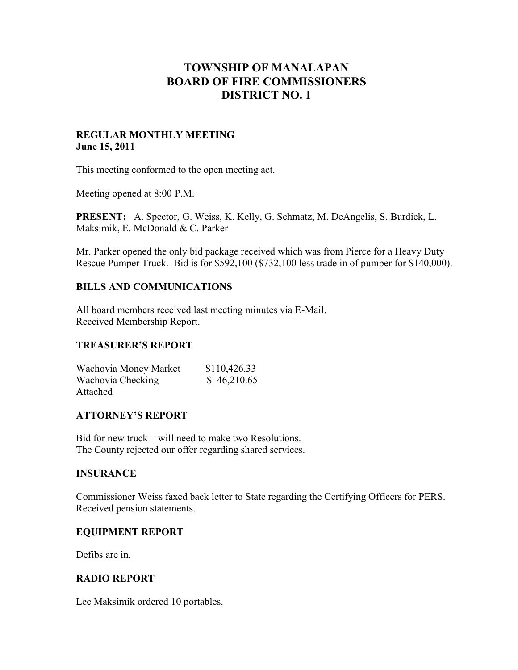# **TOWNSHIP OF MANALAPAN BOARD OF FIRE COMMISSIONERS DISTRICT NO. 1**

#### **REGULAR MONTHLY MEETING June 15, 2011**

This meeting conformed to the open meeting act.

Meeting opened at 8:00 P.M.

**PRESENT:** A. Spector, G. Weiss, K. Kelly, G. Schmatz, M. DeAngelis, S. Burdick, L. Maksimik, E. McDonald & C. Parker

Mr. Parker opened the only bid package received which was from Pierce for a Heavy Duty Rescue Pumper Truck. Bid is for \$592,100 (\$732,100 less trade in of pumper for \$140,000).

## **BILLS AND COMMUNICATIONS**

All board members received last meeting minutes via E-Mail. Received Membership Report.

## **TREASURER'S REPORT**

| Wachovia Money Market | \$110,426.33 |
|-----------------------|--------------|
| Wachovia Checking     | \$46,210.65  |
| Attached              |              |

## **ATTORNEY'S REPORT**

Bid for new truck – will need to make two Resolutions. The County rejected our offer regarding shared services.

## **INSURANCE**

Commissioner Weiss faxed back letter to State regarding the Certifying Officers for PERS. Received pension statements.

## **EQUIPMENT REPORT**

Defibs are in.

## **RADIO REPORT**

Lee Maksimik ordered 10 portables.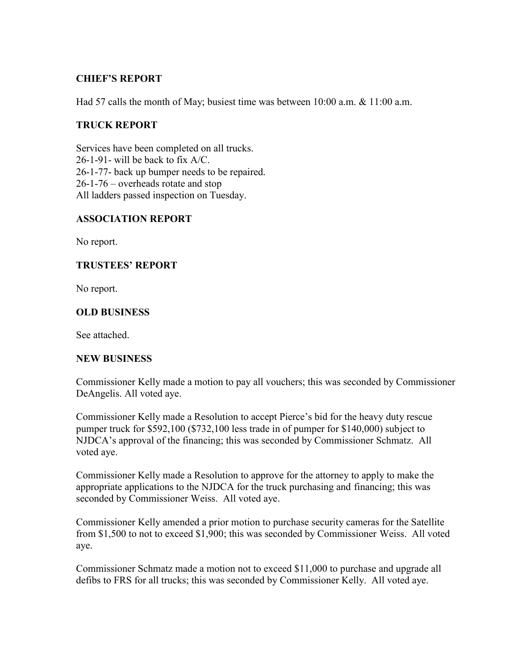## **CHIEF'S REPORT**

Had 57 calls the month of May; busiest time was between 10:00 a.m. & 11:00 a.m.

#### **TRUCK REPORT**

Services have been completed on all trucks. 26-1-91- will be back to fix A/C. 26-1-77- back up bumper needs to be repaired. 26-1-76 – overheads rotate and stop All ladders passed inspection on Tuesday.

#### **ASSOCIATION REPORT**

No report.

#### **TRUSTEES' REPORT**

No report.

#### **OLD BUSINESS**

See attached.

#### **NEW BUSINESS**

Commissioner Kelly made a motion to pay all vouchers; this was seconded by Commissioner DeAngelis. All voted aye.

Commissioner Kelly made a Resolution to accept Pierce's bid for the heavy duty rescue pumper truck for \$592,100 (\$732,100 less trade in of pumper for \$140,000) subject to NJDCA's approval of the financing; this was seconded by Commissioner Schmatz. All voted aye.

Commissioner Kelly made a Resolution to approve for the attorney to apply to make the appropriate applications to the NJDCA for the truck purchasing and financing; this was seconded by Commissioner Weiss. All voted aye.

Commissioner Kelly amended a prior motion to purchase security cameras for the Satellite from \$1,500 to not to exceed \$1,900; this was seconded by Commissioner Weiss. All voted aye.

Commissioner Schmatz made a motion not to exceed \$11,000 to purchase and upgrade all defibs to FRS for all trucks; this was seconded by Commissioner Kelly. All voted aye.